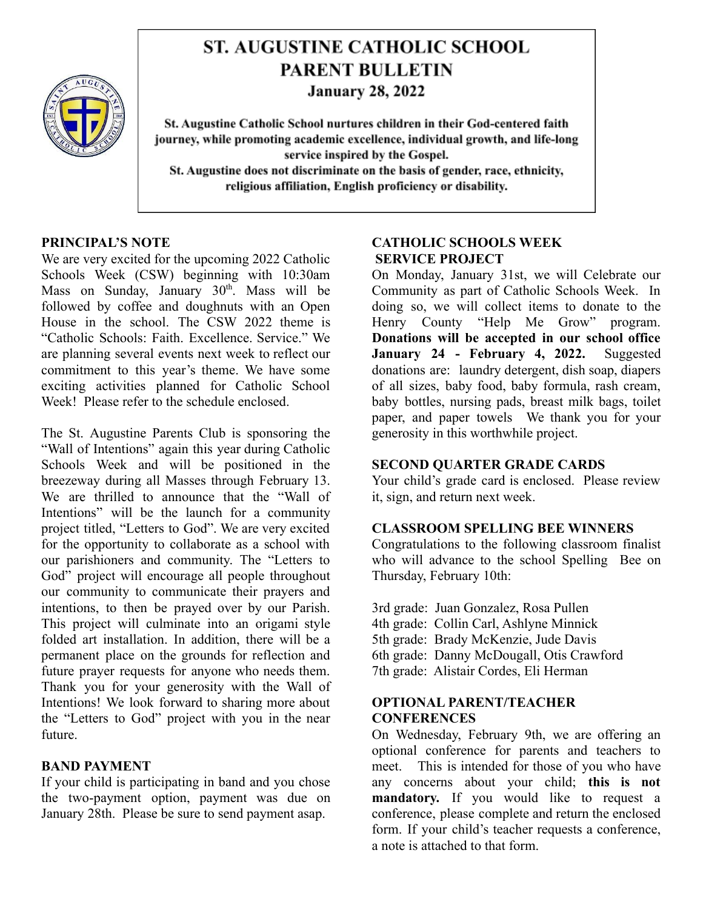

# **ST. AUGUSTINE CATHOLIC SCHOOL PARENT BULLETIN January 28, 2022**

St. Augustine Catholic School nurtures children in their God-centered faith journey, while promoting academic excellence, individual growth, and life-long service inspired by the Gospel. St. Augustine does not discriminate on the basis of gender, race, ethnicity, religious affiliation, English proficiency or disability.

# **PRINCIPAL'S NOTE**

We are very excited for the upcoming 2022 Catholic Schools Week (CSW) beginning with 10:30am Mass on Sunday, January  $30<sup>th</sup>$ . Mass will be followed by coffee and doughnuts with an Open House in the school. The CSW 2022 theme is "Catholic Schools: Faith. Excellence. Service." We are planning several events next week to reflect our commitment to this year's theme. We have some exciting activities planned for Catholic School Week! Please refer to the schedule enclosed.

The St. Augustine Parents Club is sponsoring the "Wall of Intentions" again this year during Catholic Schools Week and will be positioned in the breezeway during all Masses through February 13. We are thrilled to announce that the "Wall of Intentions" will be the launch for a community project titled, "Letters to God". We are very excited for the opportunity to collaborate as a school with our parishioners and community. The "Letters to God" project will encourage all people throughout our community to communicate their prayers and intentions, to then be prayed over by our Parish. This project will culminate into an origami style folded art installation. In addition, there will be a permanent place on the grounds for reflection and future prayer requests for anyone who needs them. Thank you for your generosity with the Wall of Intentions! We look forward to sharing more about the "Letters to God" project with you in the near future.

## **BAND PAYMENT**

If your child is participating in band and you chose the two-payment option, payment was due on January 28th. Please be sure to send payment asap.

# **CATHOLIC SCHOOLS WEEK SERVICE PROJECT**

On Monday, January 31st, we will Celebrate our Community as part of Catholic Schools Week. In doing so, we will collect items to donate to the Henry County "Help Me Grow" program. **Donations will be accepted in our school office January 24 - February 4, 2022.** Suggested donations are: laundry detergent, dish soap, diapers of all sizes, baby food, baby formula, rash cream, baby bottles, nursing pads, breast milk bags, toilet paper, and paper towels We thank you for your generosity in this worthwhile project.

## **SECOND QUARTER GRADE CARDS**

Your child's grade card is enclosed. Please review it, sign, and return next week.

# **CLASSROOM SPELLING BEE WINNERS**

Congratulations to the following classroom finalist who will advance to the school Spelling Bee on Thursday, February 10th:

- 3rd grade: Juan Gonzalez, Rosa Pullen 4th grade: Collin Carl, Ashlyne Minnick 5th grade: Brady McKenzie, Jude Davis 6th grade: Danny McDougall, Otis Crawford
- 7th grade: Alistair Cordes, Eli Herman

## **OPTIONAL PARENT/TEACHER CONFERENCES**

On Wednesday, February 9th, we are offering an optional conference for parents and teachers to meet. This is intended for those of you who have any concerns about your child; **this is not mandatory.** If you would like to request a conference, please complete and return the enclosed form. If your child's teacher requests a conference, a note is attached to that form.